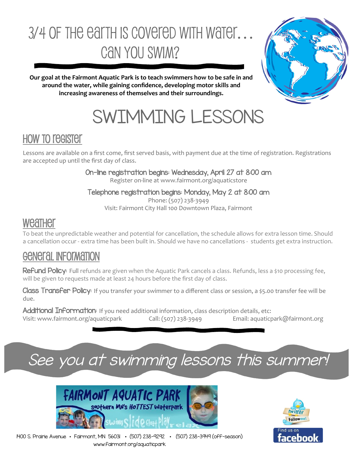# 3/4 OF THE EATTH IS COVETED WITH WATER… Can you Swim?



**Our goal at the Fairmont Aquatic Park is to teach swimmers how to be safe in and around the water, while gaining confidence, developing motor skills and increasing awareness of themselves and their surroundings.** 

# SWIMMING LESSONS

## How to register

Lessons are available on a first come, first served basis, with payment due at the time of registration. Registrations are accepted up until the first day of class.

#### On-line registration begins: Wednesday, April 27 at 8:00 am

Register on-line at www.fairmont.org/aquaticstore

#### Telephone registration begins: Monday, May 2 at 8:00 am

Phone: (507) 238-3949 Visit: Fairmont City Hall 100 Downtown Plaza, Fairmont

### Weather

To beat the unpredictable weather and potential for cancellation, the schedule allows for extra lesson time. Should a cancellation occur - extra time has been built in. Should we have no cancellations - students get extra instruction.

## General Information

Refund Policy: Full refunds are given when the Aquatic Park cancels a class. Refunds, less a \$10 processing fee, will be given to requests made at least 24 hours before the first day of class.

Class Transfer Policy: If you transfer your swimmer to a different class or session, a \$5.00 transfer fee will be due.

Additional Information: If you need additional information, class description details, etc: Visit: www.fairmont.org/aquaticpark Call: (507) 238-3949 Email: aquaticpark@fairmont.org

## See you at swimming lessons this summer!